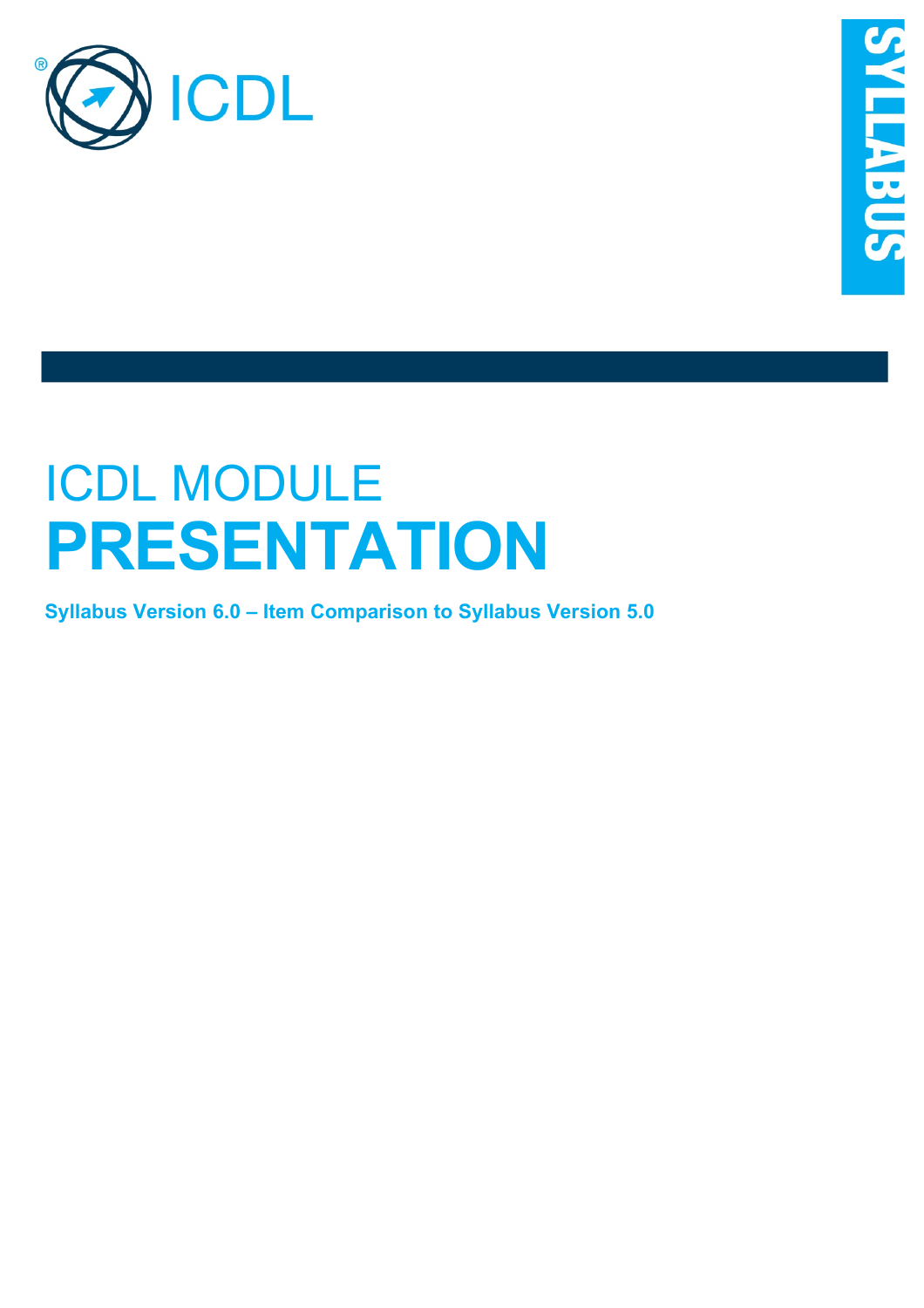

# ICDL MODULE **PRESENTATION**

**Syllabus Version 6.0 – Item Comparison to Syllabus Version 5.0**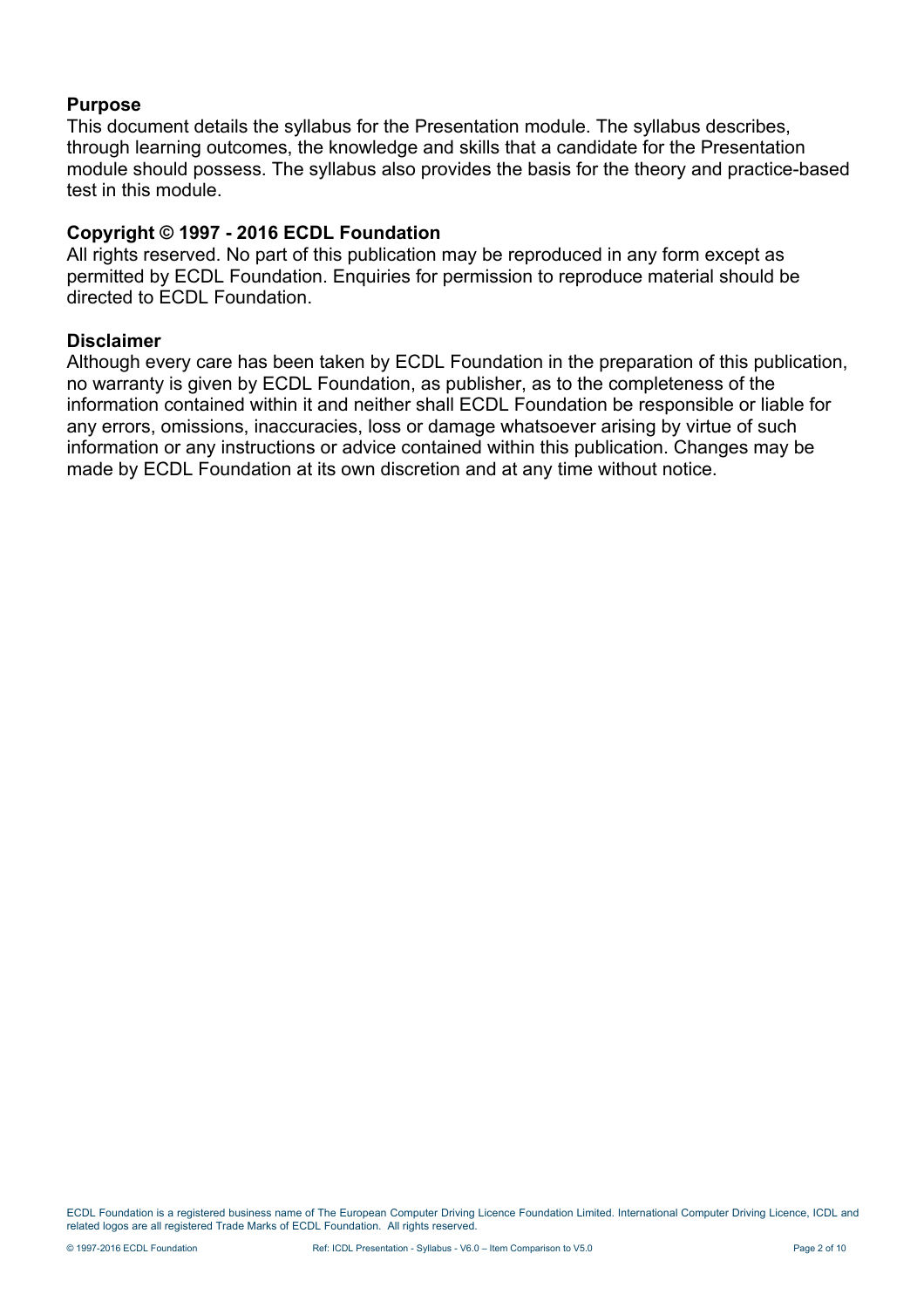#### **Purpose**

This document details the syllabus for the Presentation module. The syllabus describes, through learning outcomes, the knowledge and skills that a candidate for the Presentation module should possess. The syllabus also provides the basis for the theory and practice-based test in this module.

#### **Copyright © 1997 - 2016 ECDL Foundation**

All rights reserved. No part of this publication may be reproduced in any form except as permitted by ECDL Foundation. Enquiries for permission to reproduce material should be directed to ECDL Foundation.

#### **Disclaimer**

Although every care has been taken by ECDL Foundation in the preparation of this publication, no warranty is given by ECDL Foundation, as publisher, as to the completeness of the information contained within it and neither shall ECDL Foundation be responsible or liable for any errors, omissions, inaccuracies, loss or damage whatsoever arising by virtue of such information or any instructions or advice contained within this publication. Changes may be made by ECDL Foundation at its own discretion and at any time without notice.

ECDL Foundation is a registered business name of The European Computer Driving Licence Foundation Limited. International Computer Driving Licence, ICDL and related logos are all registered Trade Marks of ECDL Foundation. All rights reserved.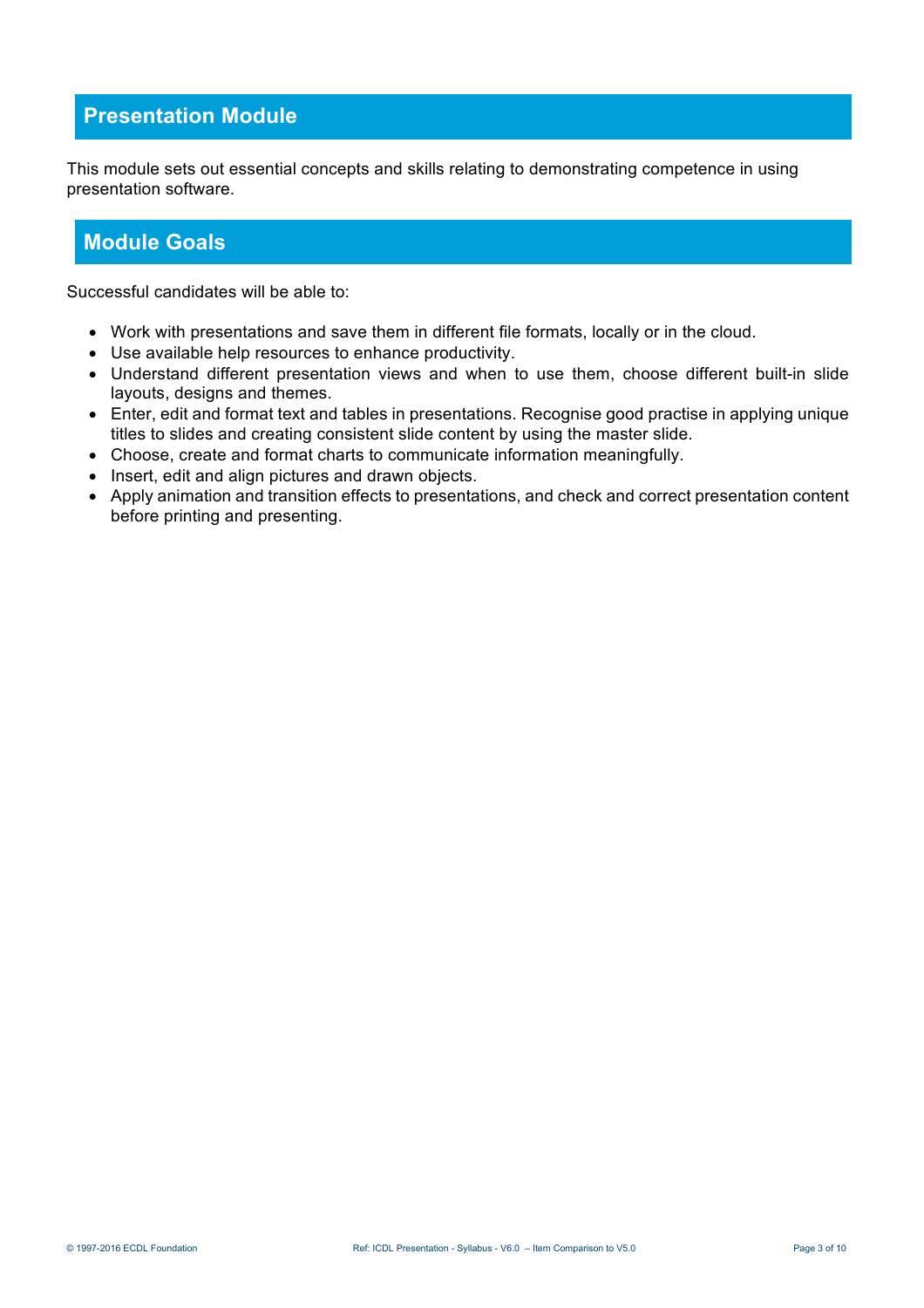## **Presentation Module**

This module sets out essential concepts and skills relating to demonstrating competence in using presentation software.

### **Module Goals**

Successful candidates will be able to:

- Work with presentations and save them in different file formats, locally or in the cloud.
- Use available help resources to enhance productivity.
- Understand different presentation views and when to use them, choose different built-in slide layouts, designs and themes.
- Enter, edit and format text and tables in presentations. Recognise good practise in applying unique titles to slides and creating consistent slide content by using the master slide.
- Choose, create and format charts to communicate information meaningfully.
- Insert, edit and align pictures and drawn objects.
- Apply animation and transition effects to presentations, and check and correct presentation content before printing and presenting.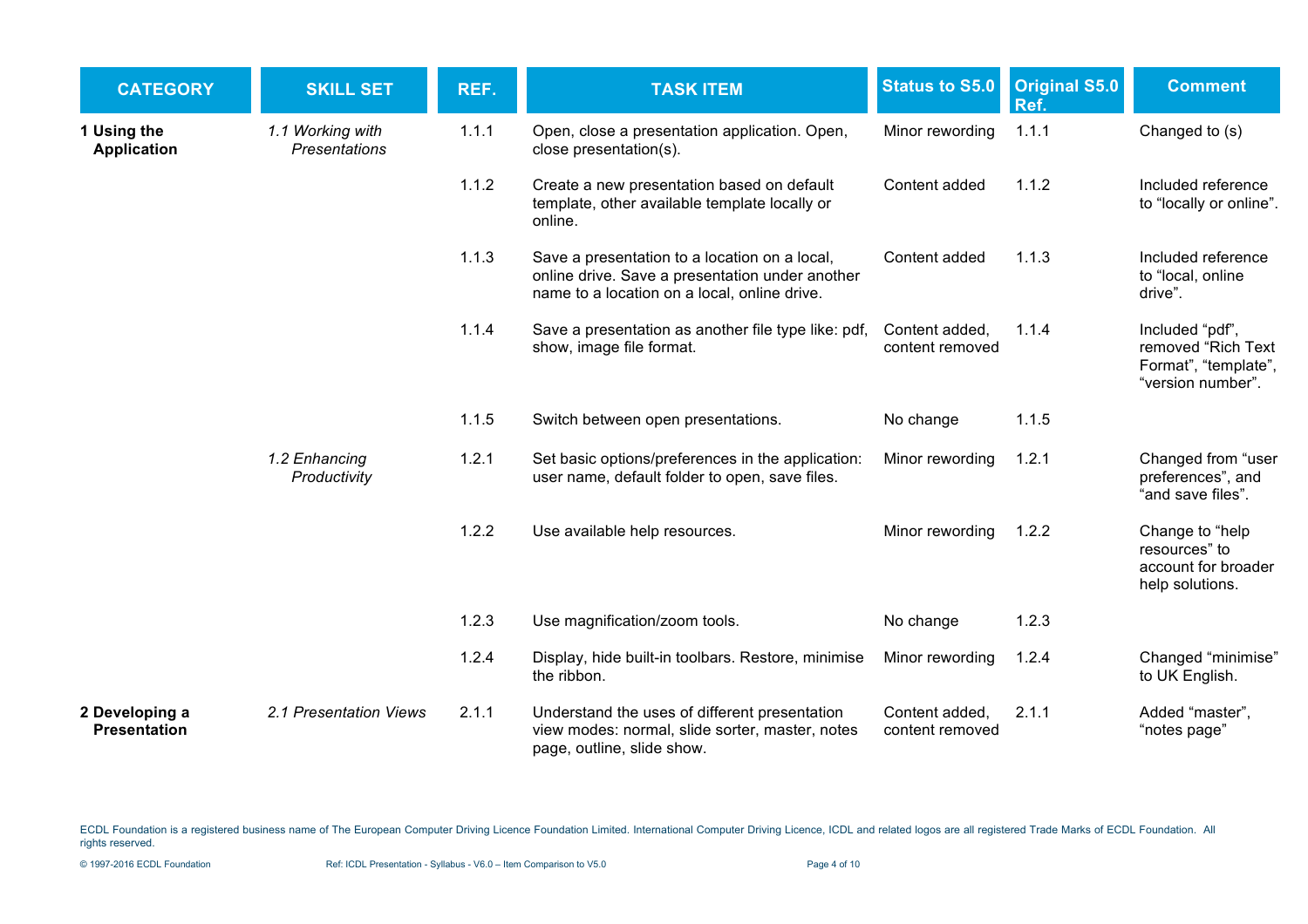| <b>CATEGORY</b>                       | <b>SKILL SET</b>                         | REF.  | <b>TASK ITEM</b>                                                                                                                                 | <b>Status to S5.0</b>             | Original S5.0<br>Ref. | <b>Comment</b>                                                                     |
|---------------------------------------|------------------------------------------|-------|--------------------------------------------------------------------------------------------------------------------------------------------------|-----------------------------------|-----------------------|------------------------------------------------------------------------------------|
| 1 Using the<br><b>Application</b>     | 1.1 Working with<br><b>Presentations</b> | 1.1.1 | Open, close a presentation application. Open,<br>close presentation(s).                                                                          | Minor rewording                   | 1.1.1                 | Changed to (s)                                                                     |
|                                       |                                          | 1.1.2 | Create a new presentation based on default<br>template, other available template locally or<br>online.                                           | Content added                     | 1.1.2                 | Included reference<br>to "locally or online".                                      |
|                                       |                                          | 1.1.3 | Save a presentation to a location on a local,<br>online drive. Save a presentation under another<br>name to a location on a local, online drive. | Content added                     | 1.1.3                 | Included reference<br>to "local, online<br>drive".                                 |
|                                       |                                          | 1.1.4 | Save a presentation as another file type like: pdf,<br>show, image file format.                                                                  | Content added,<br>content removed | 1.1.4                 | Included "pdf",<br>removed "Rich Text<br>Format", "template",<br>"version number". |
|                                       |                                          | 1.1.5 | Switch between open presentations.                                                                                                               | No change                         | 1.1.5                 |                                                                                    |
|                                       | 1.2 Enhancing<br>Productivity            | 1.2.1 | Set basic options/preferences in the application:<br>user name, default folder to open, save files.                                              | Minor rewording                   | 1.2.1                 | Changed from "user<br>preferences", and<br>"and save files".                       |
|                                       |                                          | 1.2.2 | Use available help resources.                                                                                                                    | Minor rewording                   | 1.2.2                 | Change to "help<br>resources" to<br>account for broader<br>help solutions.         |
|                                       |                                          | 1.2.3 | Use magnification/zoom tools.                                                                                                                    | No change                         | 1.2.3                 |                                                                                    |
|                                       |                                          | 1.2.4 | Display, hide built-in toolbars. Restore, minimise<br>the ribbon.                                                                                | Minor rewording                   | 1.2.4                 | Changed "minimise"<br>to UK English.                                               |
| 2 Developing a<br><b>Presentation</b> | 2.1 Presentation Views                   | 2.1.1 | Understand the uses of different presentation<br>view modes: normal, slide sorter, master, notes<br>page, outline, slide show.                   | Content added,<br>content removed | 2.1.1                 | Added "master",<br>"notes page"                                                    |

ECDL Foundation is a registered business name of The European Computer Driving Licence Foundation Limited. International Computer Driving Licence, ICDL and related logos are all registered Trade Marks of ECDL Foundation. A rights reserved.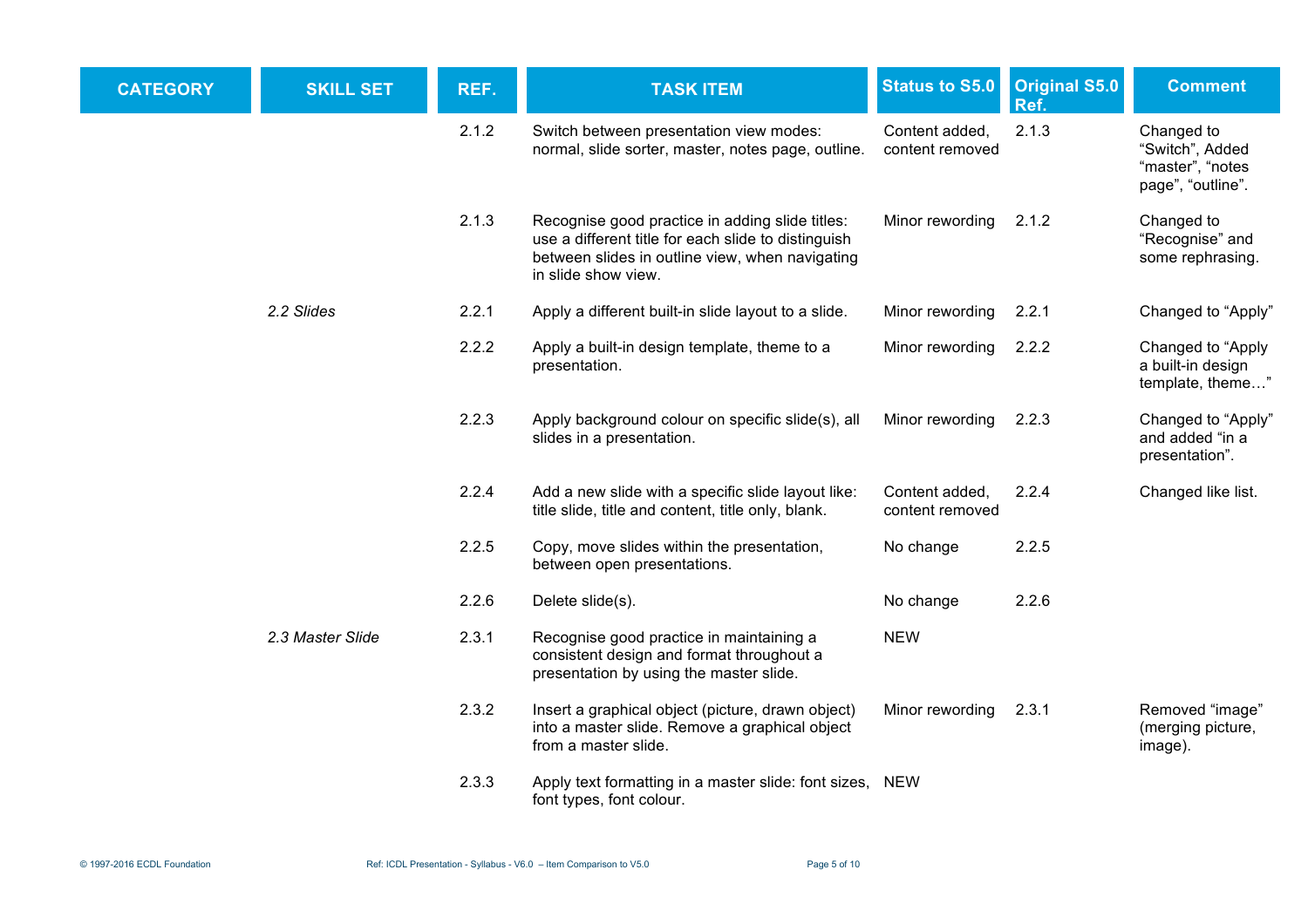| <b>CATEGORY</b> | <b>SKILL SET</b> | REF.  | <b>TASK ITEM</b>                                                                                                                                                                 | <b>Status to S5.0</b>             | <b>Original S5.0</b><br>Ref. | <b>Comment</b>                                                         |
|-----------------|------------------|-------|----------------------------------------------------------------------------------------------------------------------------------------------------------------------------------|-----------------------------------|------------------------------|------------------------------------------------------------------------|
|                 |                  | 2.1.2 | Switch between presentation view modes:<br>normal, slide sorter, master, notes page, outline.                                                                                    | Content added,<br>content removed | 2.1.3                        | Changed to<br>"Switch", Added<br>"master", "notes<br>page", "outline". |
|                 |                  | 2.1.3 | Recognise good practice in adding slide titles:<br>use a different title for each slide to distinguish<br>between slides in outline view, when navigating<br>in slide show view. | Minor rewording                   | 2.1.2                        | Changed to<br>"Recognise" and<br>some rephrasing.                      |
|                 | 2.2 Slides       | 2.2.1 | Apply a different built-in slide layout to a slide.                                                                                                                              | Minor rewording                   | 2.2.1                        | Changed to "Apply"                                                     |
|                 |                  | 2.2.2 | Apply a built-in design template, theme to a<br>presentation.                                                                                                                    | Minor rewording                   | 2.2.2                        | Changed to "Apply<br>a built-in design<br>template, theme"             |
|                 |                  | 2.2.3 | Apply background colour on specific slide(s), all<br>slides in a presentation.                                                                                                   | Minor rewording                   | 2.2.3                        | Changed to "Apply"<br>and added "in a<br>presentation".                |
|                 |                  | 2.2.4 | Add a new slide with a specific slide layout like:<br>title slide, title and content, title only, blank.                                                                         | Content added,<br>content removed | 2.2.4                        | Changed like list.                                                     |
|                 |                  | 2.2.5 | Copy, move slides within the presentation,<br>between open presentations.                                                                                                        | No change                         | 2.2.5                        |                                                                        |
|                 |                  | 2.2.6 | Delete slide(s).                                                                                                                                                                 | No change                         | 2.2.6                        |                                                                        |
|                 | 2.3 Master Slide | 2.3.1 | Recognise good practice in maintaining a<br>consistent design and format throughout a<br>presentation by using the master slide.                                                 | <b>NEW</b>                        |                              |                                                                        |
|                 |                  | 2.3.2 | Insert a graphical object (picture, drawn object)<br>into a master slide. Remove a graphical object<br>from a master slide.                                                      | Minor rewording                   | 2.3.1                        | Removed "image"<br>(merging picture,<br>image).                        |
|                 |                  | 2.3.3 | Apply text formatting in a master slide: font sizes,<br>font types, font colour.                                                                                                 | <b>NEW</b>                        |                              |                                                                        |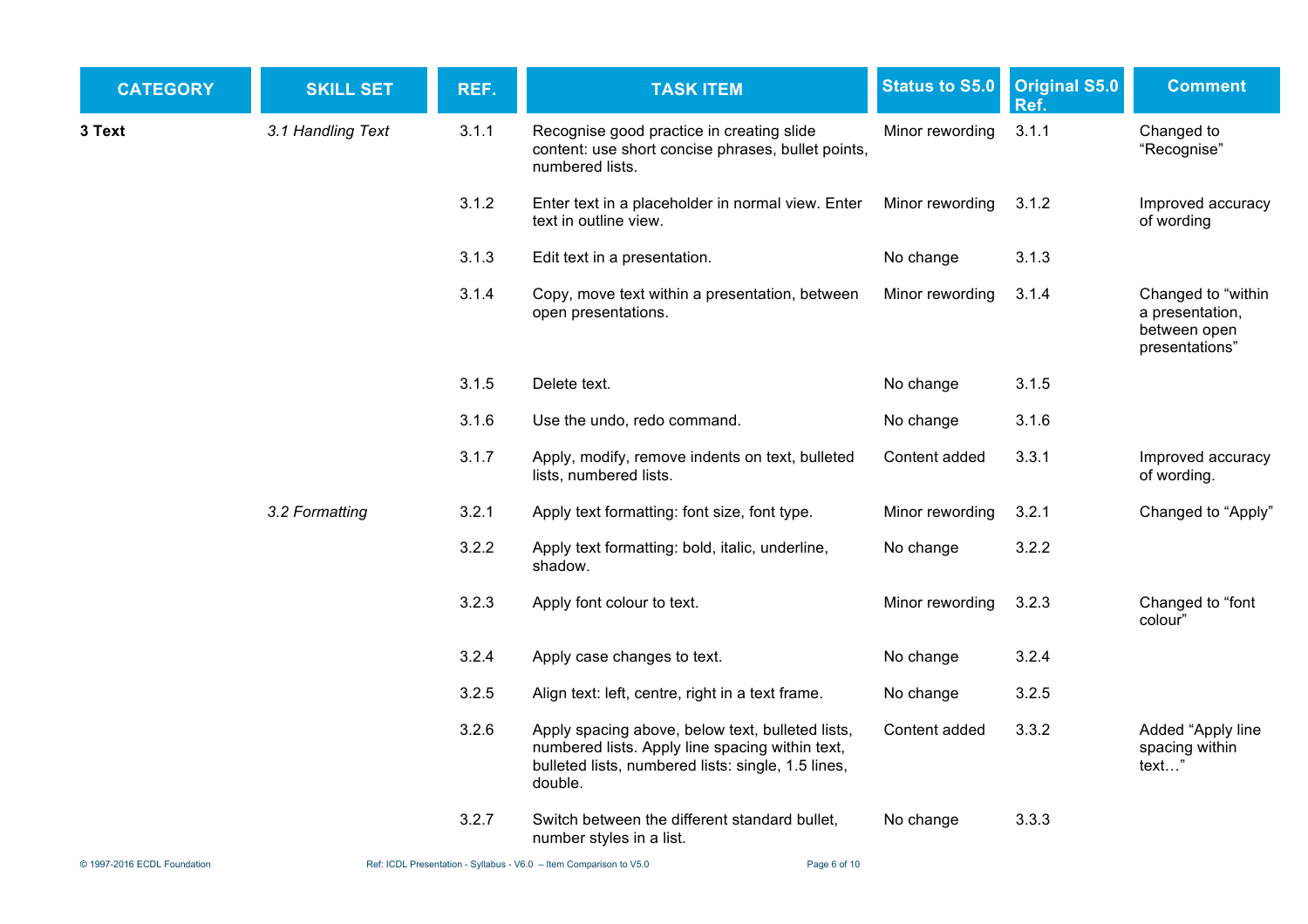| <b>CATEGORY</b>             | <b>SKILL SET</b>  | REF.  | <b>TASK ITEM</b>                                                                                                                                                     | <b>Status to S5.0</b> | <b>Original S5.0</b><br>Ref. | <b>Comment</b>                                                          |
|-----------------------------|-------------------|-------|----------------------------------------------------------------------------------------------------------------------------------------------------------------------|-----------------------|------------------------------|-------------------------------------------------------------------------|
| 3 Text                      | 3.1 Handling Text | 3.1.1 | Recognise good practice in creating slide<br>content: use short concise phrases, bullet points,<br>numbered lists.                                                   | Minor rewording       | 3.1.1                        | Changed to<br>"Recognise"                                               |
|                             |                   | 3.1.2 | Enter text in a placeholder in normal view. Enter<br>text in outline view.                                                                                           | Minor rewording       | 3.1.2                        | Improved accuracy<br>of wording                                         |
|                             |                   | 3.1.3 | Edit text in a presentation.                                                                                                                                         | No change             | 3.1.3                        |                                                                         |
|                             |                   | 3.1.4 | Copy, move text within a presentation, between<br>open presentations.                                                                                                | Minor rewording       | 3.1.4                        | Changed to "within<br>a presentation,<br>between open<br>presentations" |
|                             |                   | 3.1.5 | Delete text.                                                                                                                                                         | No change             | 3.1.5                        |                                                                         |
|                             |                   | 3.1.6 | Use the undo, redo command.                                                                                                                                          | No change             | 3.1.6                        |                                                                         |
|                             |                   | 3.1.7 | Apply, modify, remove indents on text, bulleted<br>lists, numbered lists.                                                                                            | Content added         | 3.3.1                        | Improved accuracy<br>of wording.                                        |
|                             | 3.2 Formatting    | 3.2.1 | Apply text formatting: font size, font type.                                                                                                                         | Minor rewording       | 3.2.1                        | Changed to "Apply"                                                      |
|                             |                   | 3.2.2 | Apply text formatting: bold, italic, underline,<br>shadow.                                                                                                           | No change             | 3.2.2                        |                                                                         |
|                             |                   | 3.2.3 | Apply font colour to text.                                                                                                                                           | Minor rewording       | 3.2.3                        | Changed to "font<br>colour"                                             |
|                             |                   | 3.2.4 | Apply case changes to text.                                                                                                                                          | No change             | 3.2.4                        |                                                                         |
|                             |                   | 3.2.5 | Align text: left, centre, right in a text frame.                                                                                                                     | No change             | 3.2.5                        |                                                                         |
|                             |                   | 3.2.6 | Apply spacing above, below text, bulleted lists,<br>numbered lists. Apply line spacing within text,<br>bulleted lists, numbered lists: single, 1.5 lines,<br>double. | Content added         | 3.3.2                        | Added "Apply line<br>spacing within<br>text"                            |
|                             |                   | 3.2.7 | Switch between the different standard bullet,<br>number styles in a list.                                                                                            | No change             | 3.3.3                        |                                                                         |
| © 1997-2016 ECDL Foundation |                   |       | Ref: ICDL Presentation - Syllabus - V6.0 - Item Comparison to V5.0<br>Page 6 of 10                                                                                   |                       |                              |                                                                         |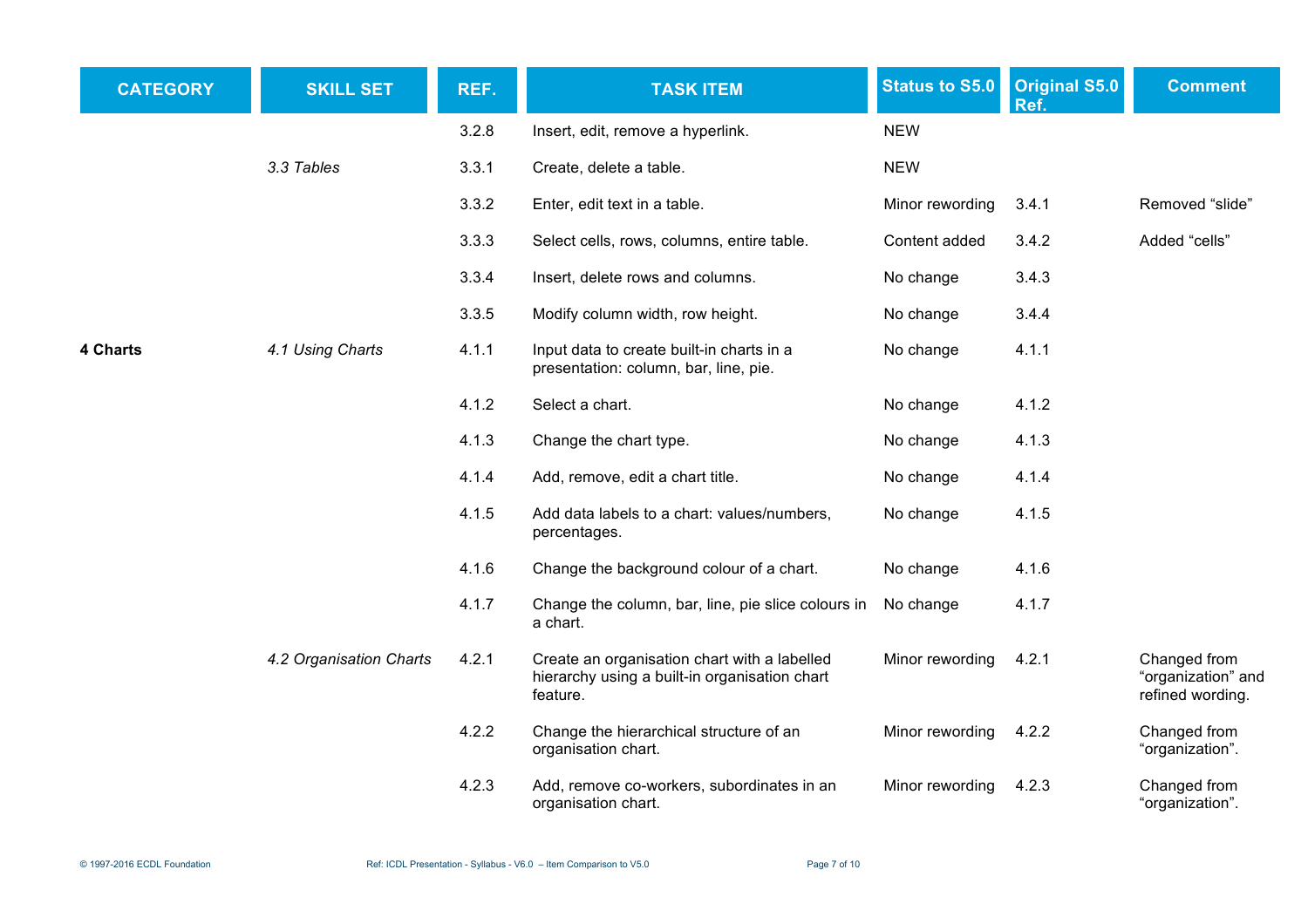| <b>CATEGORY</b> | <b>SKILL SET</b>        | REF.  | <b>TASK ITEM</b>                                                                                          | <b>Status to S5.0</b> | <b>Original S5.0</b><br>Ref. | <b>Comment</b>                                         |
|-----------------|-------------------------|-------|-----------------------------------------------------------------------------------------------------------|-----------------------|------------------------------|--------------------------------------------------------|
|                 |                         | 3.2.8 | Insert, edit, remove a hyperlink.                                                                         | <b>NEW</b>            |                              |                                                        |
|                 | 3.3 Tables              | 3.3.1 | Create, delete a table.                                                                                   | <b>NEW</b>            |                              |                                                        |
|                 |                         | 3.3.2 | Enter, edit text in a table.                                                                              | Minor rewording       | 3.4.1                        | Removed "slide"                                        |
|                 |                         | 3.3.3 | Select cells, rows, columns, entire table.                                                                | Content added         | 3.4.2                        | Added "cells"                                          |
|                 |                         | 3.3.4 | Insert, delete rows and columns.                                                                          | No change             | 3.4.3                        |                                                        |
|                 |                         | 3.3.5 | Modify column width, row height.                                                                          | No change             | 3.4.4                        |                                                        |
| 4 Charts        | 4.1 Using Charts        | 4.1.1 | Input data to create built-in charts in a<br>presentation: column, bar, line, pie.                        | No change             | 4.1.1                        |                                                        |
|                 |                         | 4.1.2 | Select a chart.                                                                                           | No change             | 4.1.2                        |                                                        |
|                 |                         | 4.1.3 | Change the chart type.                                                                                    | No change             | 4.1.3                        |                                                        |
|                 |                         | 4.1.4 | Add, remove, edit a chart title.                                                                          | No change             | 4.1.4                        |                                                        |
|                 |                         | 4.1.5 | Add data labels to a chart: values/numbers,<br>percentages.                                               | No change             | 4.1.5                        |                                                        |
|                 |                         | 4.1.6 | Change the background colour of a chart.                                                                  | No change             | 4.1.6                        |                                                        |
|                 |                         | 4.1.7 | Change the column, bar, line, pie slice colours in<br>a chart.                                            | No change             | 4.1.7                        |                                                        |
|                 | 4.2 Organisation Charts | 4.2.1 | Create an organisation chart with a labelled<br>hierarchy using a built-in organisation chart<br>feature. | Minor rewording       | 4.2.1                        | Changed from<br>"organization" and<br>refined wording. |
|                 |                         | 4.2.2 | Change the hierarchical structure of an<br>organisation chart.                                            | Minor rewording       | 4.2.2                        | Changed from<br>"organization".                        |
|                 |                         | 4.2.3 | Add, remove co-workers, subordinates in an<br>organisation chart.                                         | Minor rewording       | 4.2.3                        | Changed from<br>"organization".                        |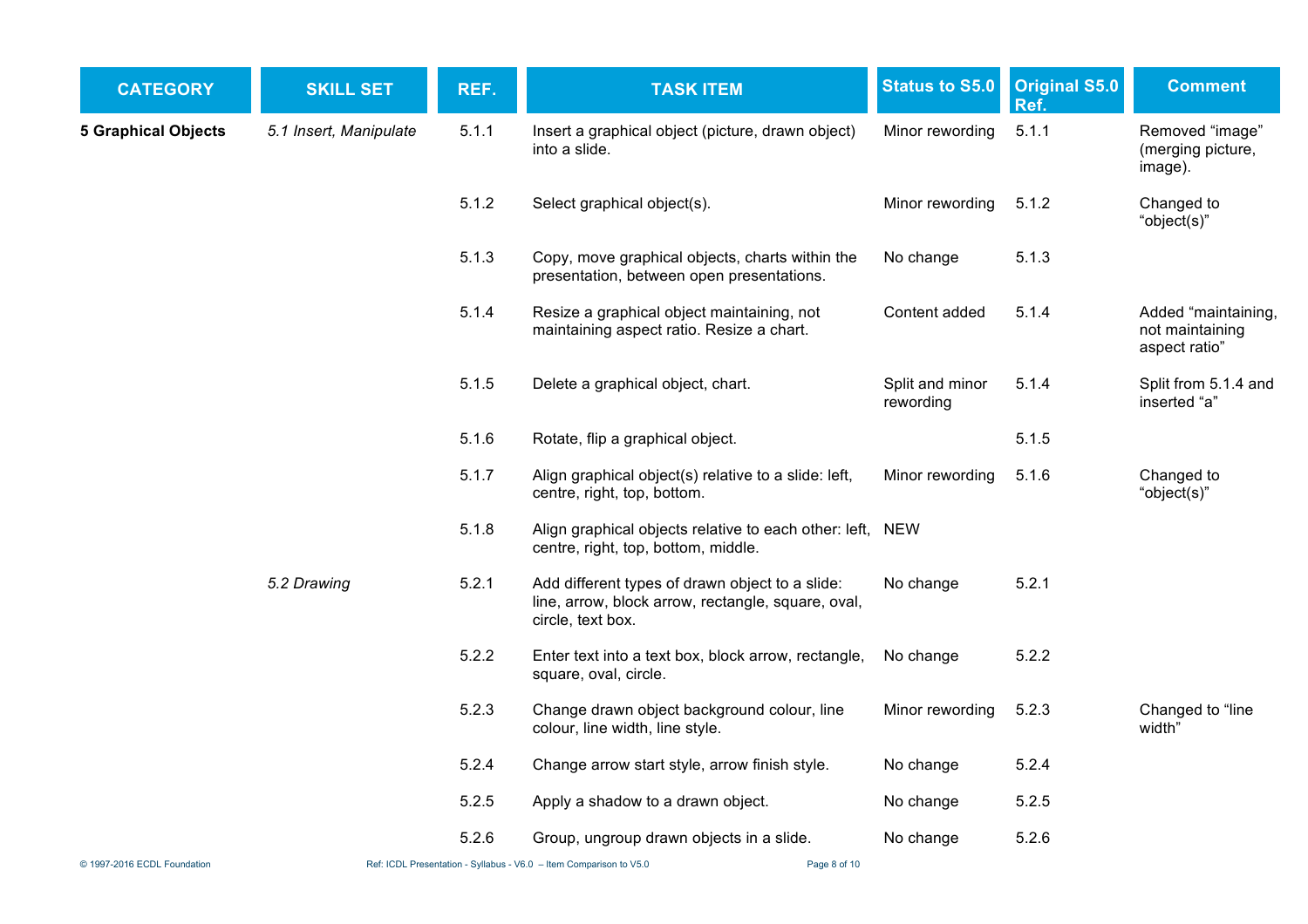| <b>CATEGORY</b>             | <b>SKILL SET</b>       | REF.  | <b>TASK ITEM</b>                                                                                                           | <b>Status to S5.0</b>        | <b>Original S5.0</b><br>Ref. | <b>Comment</b>                                          |
|-----------------------------|------------------------|-------|----------------------------------------------------------------------------------------------------------------------------|------------------------------|------------------------------|---------------------------------------------------------|
| <b>5 Graphical Objects</b>  | 5.1 Insert, Manipulate | 5.1.1 | Insert a graphical object (picture, drawn object)<br>into a slide.                                                         | Minor rewording              | 5.1.1                        | Removed "image"<br>(merging picture,<br>image).         |
|                             |                        | 5.1.2 | Select graphical object(s).                                                                                                | Minor rewording              | 5.1.2                        | Changed to<br>"object(s)"                               |
|                             |                        | 5.1.3 | Copy, move graphical objects, charts within the<br>presentation, between open presentations.                               | No change                    | 5.1.3                        |                                                         |
|                             |                        | 5.1.4 | Resize a graphical object maintaining, not<br>maintaining aspect ratio. Resize a chart.                                    | Content added                | 5.1.4                        | Added "maintaining,<br>not maintaining<br>aspect ratio" |
|                             |                        | 5.1.5 | Delete a graphical object, chart.                                                                                          | Split and minor<br>rewording | 5.1.4                        | Split from 5.1.4 and<br>inserted "a"                    |
|                             |                        | 5.1.6 | Rotate, flip a graphical object.                                                                                           |                              | 5.1.5                        |                                                         |
|                             |                        | 5.1.7 | Align graphical object(s) relative to a slide: left,<br>centre, right, top, bottom.                                        | Minor rewording              | 5.1.6                        | Changed to<br>"object(s)"                               |
|                             |                        | 5.1.8 | Align graphical objects relative to each other: left, NEW<br>centre, right, top, bottom, middle.                           |                              |                              |                                                         |
|                             | 5.2 Drawing            | 5.2.1 | Add different types of drawn object to a slide:<br>line, arrow, block arrow, rectangle, square, oval,<br>circle, text box. | No change                    | 5.2.1                        |                                                         |
|                             |                        | 5.2.2 | Enter text into a text box, block arrow, rectangle,<br>square, oval, circle.                                               | No change                    | 5.2.2                        |                                                         |
|                             |                        | 5.2.3 | Change drawn object background colour, line<br>colour, line width, line style.                                             | Minor rewording              | 5.2.3                        | Changed to "line<br>width"                              |
|                             |                        | 5.2.4 | Change arrow start style, arrow finish style.                                                                              | No change                    | 5.2.4                        |                                                         |
|                             |                        | 5.2.5 | Apply a shadow to a drawn object.                                                                                          | No change                    | 5.2.5                        |                                                         |
|                             |                        | 5.2.6 | Group, ungroup drawn objects in a slide.                                                                                   | No change                    | 5.2.6                        |                                                         |
| © 1997-2016 ECDL Foundation |                        |       | Ref: ICDL Presentation - Syllabus - V6.0 - Item Comparison to V5.0<br>Page 8 of 10                                         |                              |                              |                                                         |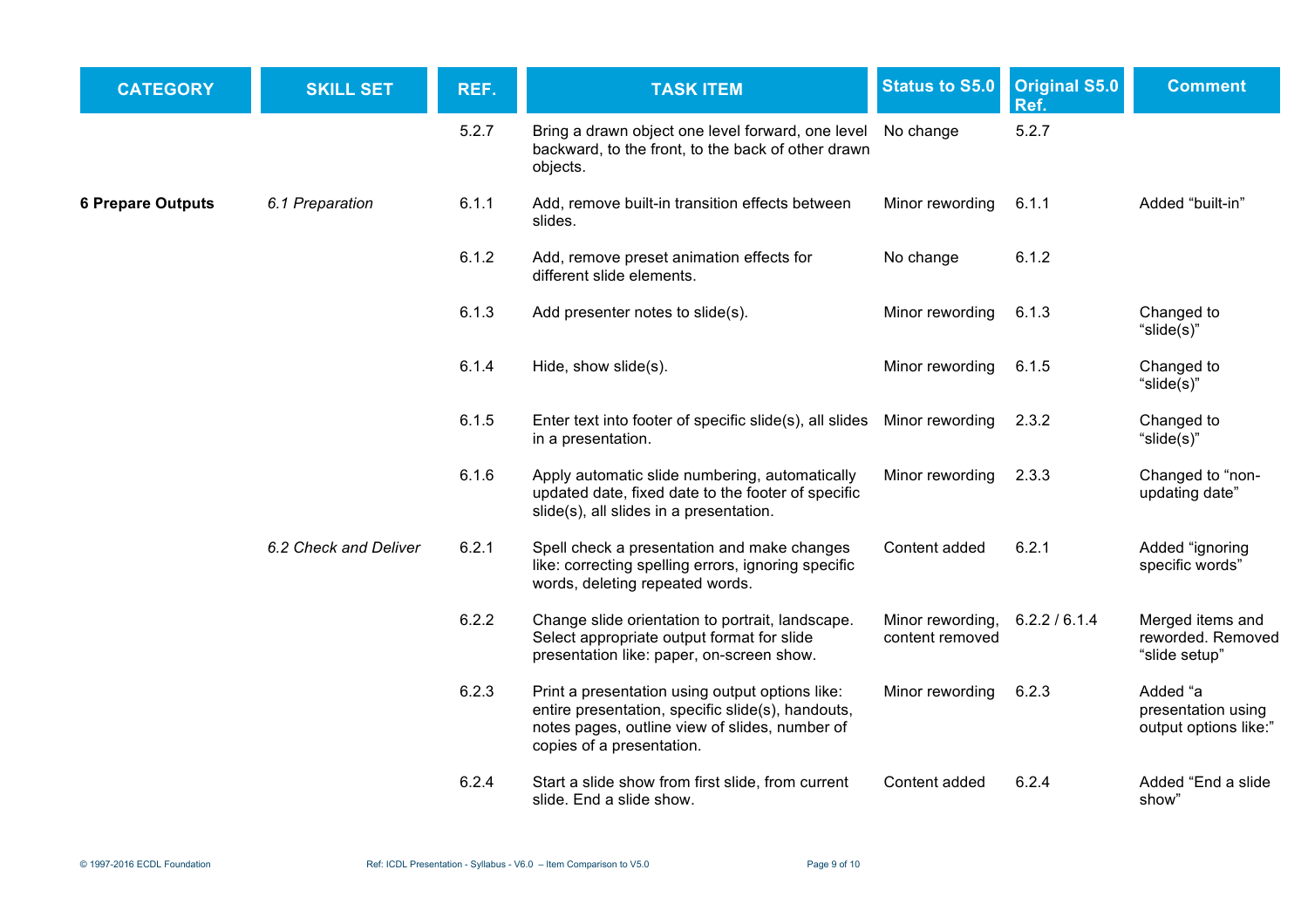| <b>CATEGORY</b>          | <b>SKILL SET</b>      | REF.  | <b>TASK ITEM</b>                                                                                                                                                                    | <b>Status to S5.0</b>               | <b>Original S5.0</b><br>Ref. | <b>Comment</b>                                          |
|--------------------------|-----------------------|-------|-------------------------------------------------------------------------------------------------------------------------------------------------------------------------------------|-------------------------------------|------------------------------|---------------------------------------------------------|
|                          |                       | 5.2.7 | Bring a drawn object one level forward, one level<br>backward, to the front, to the back of other drawn<br>objects.                                                                 | No change                           | 5.2.7                        |                                                         |
| <b>6 Prepare Outputs</b> | 6.1 Preparation       | 6.1.1 | Add, remove built-in transition effects between<br>slides.                                                                                                                          | Minor rewording                     | 6.1.1                        | Added "built-in"                                        |
|                          |                       | 6.1.2 | Add, remove preset animation effects for<br>different slide elements.                                                                                                               | No change                           | 6.1.2                        |                                                         |
|                          |                       | 6.1.3 | Add presenter notes to slide(s).                                                                                                                                                    | Minor rewording                     | 6.1.3                        | Changed to<br>"slide(s)"                                |
|                          |                       | 6.1.4 | Hide, show slide(s).                                                                                                                                                                | Minor rewording                     | 6.1.5                        | Changed to<br>"slide(s)"                                |
|                          |                       | 6.1.5 | Enter text into footer of specific slide(s), all slides Minor rewording<br>in a presentation.                                                                                       |                                     | 2.3.2                        | Changed to<br>"slide(s)"                                |
|                          |                       | 6.1.6 | Apply automatic slide numbering, automatically<br>updated date, fixed date to the footer of specific<br>slide(s), all slides in a presentation.                                     | Minor rewording                     | 2.3.3                        | Changed to "non-<br>updating date"                      |
|                          | 6.2 Check and Deliver | 6.2.1 | Spell check a presentation and make changes<br>like: correcting spelling errors, ignoring specific<br>words, deleting repeated words.                                               | Content added                       | 6.2.1                        | Added "ignoring<br>specific words"                      |
|                          |                       | 6.2.2 | Change slide orientation to portrait, landscape.<br>Select appropriate output format for slide<br>presentation like: paper, on-screen show.                                         | Minor rewording,<br>content removed | 6.2.2 / 6.1.4                | Merged items and<br>reworded. Removed<br>"slide setup"  |
|                          |                       | 6.2.3 | Print a presentation using output options like:<br>entire presentation, specific slide(s), handouts,<br>notes pages, outline view of slides, number of<br>copies of a presentation. | Minor rewording                     | 6.2.3                        | Added "a<br>presentation using<br>output options like:" |
|                          |                       | 6.2.4 | Start a slide show from first slide, from current<br>slide. End a slide show.                                                                                                       | Content added                       | 6.2.4                        | Added "End a slide<br>show"                             |